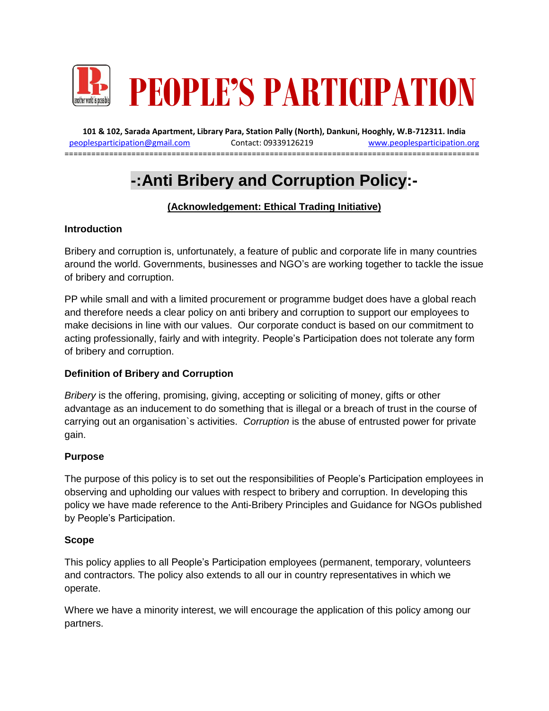

**101 & 102, Sarada Apartment, Library Para, Station Pally (North), Dankuni, Hooghly, W.B-712311. India** [peoplesparticipation@gmail.com](mailto:peoplesparticipation@gmail.com) Contact: 09339126219 [www.peoplesparticipation.org](http://www.peoplesparticipation.org/) ==============================

# **-:Anti Bribery and Corruption Policy:-**

## **(Acknowledgement: Ethical Trading Initiative)**

#### **Introduction**

Bribery and corruption is, unfortunately, a feature of public and corporate life in many countries around the world. Governments, businesses and NGO's are working together to tackle the issue of bribery and corruption.

PP while small and with a limited procurement or programme budget does have a global reach and therefore needs a clear policy on anti bribery and corruption to support our employees to make decisions in line with our values. Our corporate conduct is based on our commitment to acting professionally, fairly and with integrity. People's Participation does not tolerate any form of bribery and corruption.

### **Definition of Bribery and Corruption**

*Bribery* i*s* the offering, promising, giving, accepting or soliciting of money, gifts or other advantage as an inducement to do something that is illegal or a breach of trust in the course of carrying out an organisation`s activities. *Corruption* is the abuse of entrusted power for private gain.

#### **Purpose**

The purpose of this policy is to set out the responsibilities of People's Participation employees in observing and upholding our values with respect to bribery and corruption. In developing this policy we have made reference to the Anti-Bribery Principles and Guidance for NGOs published by People's Participation.

#### **Scope**

This policy applies to all People's Participation employees (permanent, temporary, volunteers and contractors. The policy also extends to all our in country representatives in which we operate.

Where we have a minority interest, we will encourage the application of this policy among our partners.